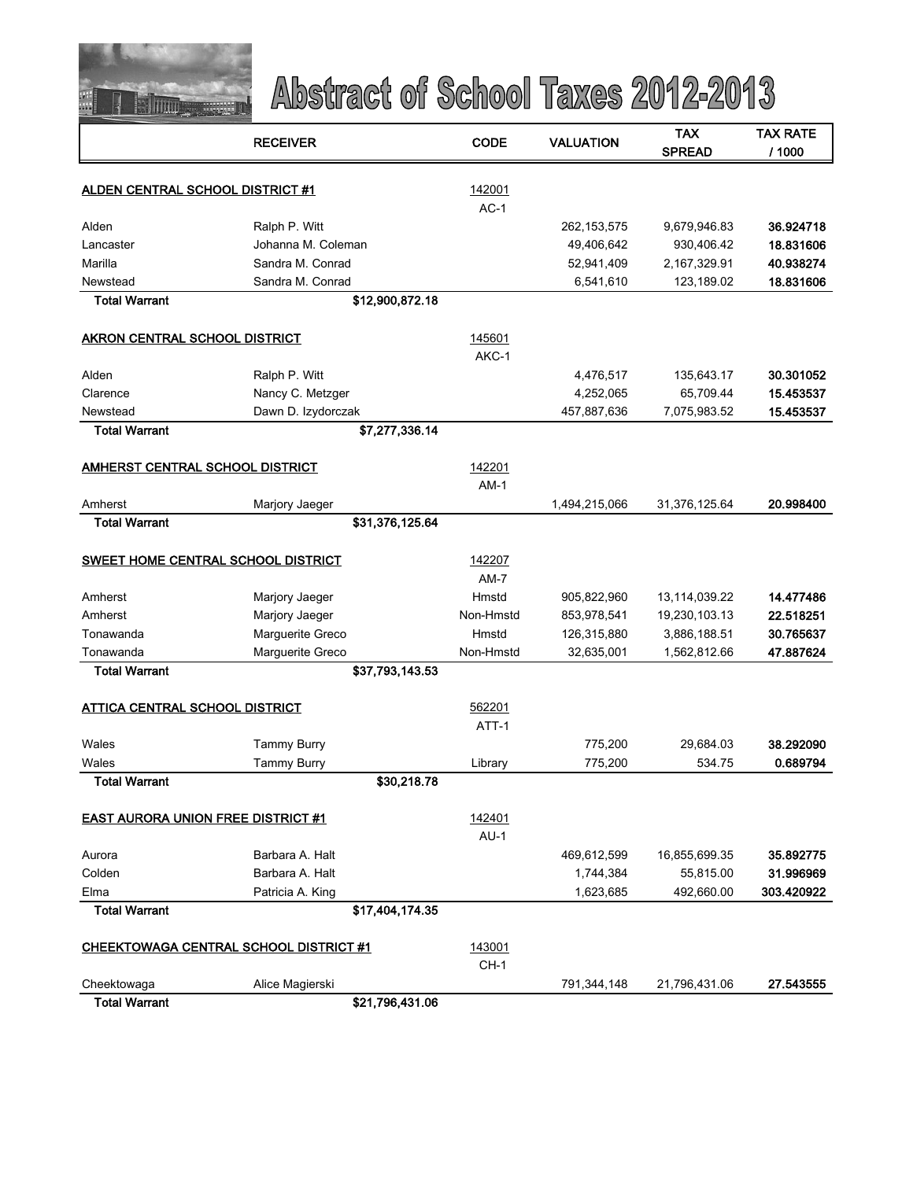

|                                           | <b>RECEIVER</b>                               | <b>CODE</b>      | <b>VALUATION</b>         | TAX                        | <b>TAX RATE</b>        |
|-------------------------------------------|-----------------------------------------------|------------------|--------------------------|----------------------------|------------------------|
|                                           |                                               |                  |                          | <b>SPREAD</b>              | / 1000                 |
|                                           |                                               |                  |                          |                            |                        |
| ALDEN CENTRAL SCHOOL DISTRICT #1          |                                               | 142001<br>$AC-1$ |                          |                            |                        |
|                                           |                                               |                  |                          |                            |                        |
| Alden                                     | Ralph P. Witt                                 |                  | 262, 153, 575            | 9,679,946.83               | 36.924718              |
| Lancaster<br>Marilla                      | Johanna M. Coleman<br>Sandra M. Conrad        |                  | 49,406,642<br>52,941,409 | 930,406.42<br>2,167,329.91 | 18.831606<br>40.938274 |
| Newstead                                  | Sandra M. Conrad                              |                  | 6,541,610                | 123,189.02                 | 18.831606              |
| <b>Total Warrant</b>                      | \$12,900,872.18                               |                  |                          |                            |                        |
|                                           |                                               |                  |                          |                            |                        |
| AKRON CENTRAL SCHOOL DISTRICT             |                                               | 145601           |                          |                            |                        |
|                                           |                                               | AKC-1            |                          |                            |                        |
| Alden                                     | Ralph P. Witt                                 |                  | 4,476,517                | 135,643.17                 | 30.301052              |
| Clarence                                  | Nancy C. Metzger                              |                  | 4,252,065                | 65,709.44                  | 15.453537              |
| Newstead                                  | Dawn D. Izydorczak                            |                  | 457,887,636              | 7,075,983.52               | 15.453537              |
| <b>Total Warrant</b>                      | \$7,277,336.14                                |                  |                          |                            |                        |
|                                           |                                               |                  |                          |                            |                        |
| AMHERST CENTRAL SCHOOL DISTRICT           |                                               | 142201           |                          |                            |                        |
|                                           |                                               | $AM-1$           |                          |                            |                        |
| Amherst                                   | Marjory Jaeger                                |                  | 1,494,215,066            | 31,376,125.64              | 20.998400              |
| <b>Total Warrant</b>                      | \$31,376,125.64                               |                  |                          |                            |                        |
|                                           |                                               |                  |                          |                            |                        |
| <b>SWEET HOME CENTRAL SCHOOL DISTRICT</b> |                                               | 142207           |                          |                            |                        |
|                                           |                                               | $AM-7$           |                          |                            |                        |
| Amherst                                   | Marjory Jaeger                                | Hmstd            | 905,822,960              | 13,114,039.22              | 14.477486              |
| Amherst                                   | Marjory Jaeger                                | Non-Hmstd        | 853,978,541              | 19,230,103.13              | 22.518251              |
| Tonawanda                                 | Marguerite Greco                              | Hmstd            | 126,315,880              | 3,886,188.51               | 30.765637              |
| Tonawanda                                 | Marguerite Greco                              | Non-Hmstd        | 32,635,001               | 1,562,812.66               | 47.887624              |
| <b>Total Warrant</b>                      | \$37,793,143.53                               |                  |                          |                            |                        |
|                                           |                                               |                  |                          |                            |                        |
| <b>ATTICA CENTRAL SCHOOL DISTRICT</b>     |                                               | 562201           |                          |                            |                        |
|                                           |                                               | ATT-1            |                          |                            |                        |
| Wales                                     | <b>Tammy Burry</b>                            |                  | 775,200                  | 29,684.03                  | 38.292090              |
| Wales                                     | <b>Tammy Burry</b>                            | Library          | 775,200                  | 534.75                     | 0.689794               |
| <b>Total Warrant</b>                      | \$30,218.78                                   |                  |                          |                            |                        |
| <b>EAST AURORA UNION FREE DISTRICT #1</b> |                                               | 142401           |                          |                            |                        |
|                                           |                                               | $AU-1$           |                          |                            |                        |
| Aurora                                    | Barbara A. Halt                               |                  | 469,612,599              | 16,855,699.35              | 35.892775              |
| Colden                                    | Barbara A. Halt                               |                  | 1,744,384                | 55,815.00                  | 31.996969              |
| Elma                                      | Patricia A. King                              |                  | 1,623,685                | 492,660.00                 | 303.420922             |
| <b>Total Warrant</b>                      | \$17,404,174.35                               |                  |                          |                            |                        |
|                                           |                                               |                  |                          |                            |                        |
|                                           | <b>CHEEKTOWAGA CENTRAL SCHOOL DISTRICT #1</b> | 143001           |                          |                            |                        |
|                                           |                                               | $CH-1$           |                          |                            |                        |
| Cheektowaga                               | Alice Magierski                               |                  | 791,344,148              | 21,796,431.06              | 27.543555              |
| <b>Total Warrant</b>                      | \$21,796,431.06                               |                  |                          |                            |                        |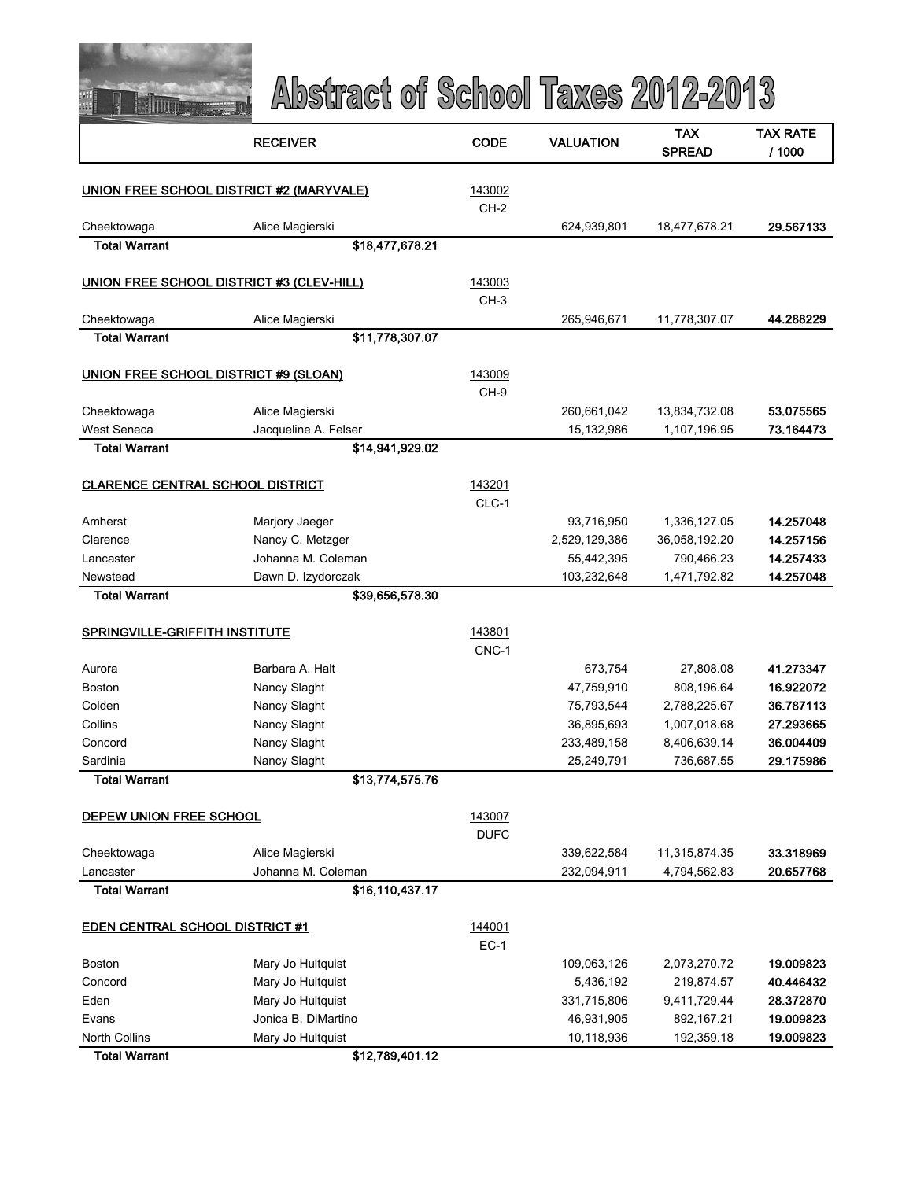

|                                         | <b>RECEIVER</b>                           | <b>CODE</b>      | VALUATION     | <b>TAX</b>    | <b>TAX RATE</b> |
|-----------------------------------------|-------------------------------------------|------------------|---------------|---------------|-----------------|
|                                         |                                           |                  |               | <b>SPREAD</b> | / 1000          |
|                                         |                                           | 143002           |               |               |                 |
|                                         | UNION FREE SCHOOL DISTRICT #2 (MARYVALE)  | $CH-2$           |               |               |                 |
| Cheektowaga                             | Alice Magierski                           |                  | 624,939,801   | 18,477,678.21 | 29.567133       |
| <b>Total Warrant</b>                    | \$18,477,678.21                           |                  |               |               |                 |
|                                         |                                           |                  |               |               |                 |
|                                         | UNION FREE SCHOOL DISTRICT #3 (CLEV-HILL) | 143003<br>$CH-3$ |               |               |                 |
| Cheektowaga                             | Alice Magierski                           |                  | 265,946,671   | 11,778,307.07 | 44.288229       |
| <b>Total Warrant</b>                    | \$11,778,307.07                           |                  |               |               |                 |
|                                         |                                           |                  |               |               |                 |
|                                         | UNION FREE SCHOOL DISTRICT #9 (SLOAN)     | 143009           |               |               |                 |
|                                         |                                           | CH-9             |               |               |                 |
| Cheektowaga                             | Alice Magierski                           |                  | 260,661,042   | 13,834,732.08 | 53.075565       |
| <b>West Seneca</b>                      | Jacqueline A. Felser                      |                  | 15,132,986    | 1,107,196.95  | 73.164473       |
| <b>Total Warrant</b>                    | \$14,941,929.02                           |                  |               |               |                 |
| <b>CLARENCE CENTRAL SCHOOL DISTRICT</b> |                                           | 143201           |               |               |                 |
|                                         |                                           | CLC-1            |               |               |                 |
| Amherst                                 | Marjory Jaeger                            |                  | 93,716,950    | 1,336,127.05  | 14.257048       |
| Clarence                                | Nancy C. Metzger                          |                  | 2,529,129,386 | 36,058,192.20 | 14.257156       |
| Lancaster                               | Johanna M. Coleman                        |                  | 55,442,395    | 790,466.23    | 14.257433       |
| Newstead                                | Dawn D. Izydorczak                        |                  | 103,232,648   | 1,471,792.82  | 14.257048       |
| <b>Total Warrant</b>                    | \$39,656,578.30                           |                  |               |               |                 |
| SPRINGVILLE-GRIFFITH INSTITUTE          |                                           | 143801           |               |               |                 |
|                                         |                                           | CNC-1            |               |               |                 |
| Aurora                                  | Barbara A. Halt                           |                  | 673,754       | 27,808.08     | 41.273347       |
| <b>Boston</b>                           | Nancy Slaght                              |                  | 47,759,910    | 808,196.64    | 16.922072       |
| Colden                                  | Nancy Slaght                              |                  | 75,793,544    | 2,788,225.67  | 36.787113       |
| Collins                                 | Nancy Slaght                              |                  | 36,895,693    | 1,007,018.68  | 27.293665       |
| Concord                                 | Nancy Slaght                              |                  | 233,489,158   | 8,406,639.14  | 36.004409       |
| Sardinia                                | Nancy Slaght                              |                  | 25,249,791    | 736,687.55    | 29.175986       |
| <b>Total Warrant</b>                    | \$13,774,575.76                           |                  |               |               |                 |
| DEPEW UNION FREE SCHOOL                 |                                           | 143007           |               |               |                 |
|                                         |                                           | <b>DUFC</b>      |               |               |                 |
| Cheektowaga                             | Alice Magierski                           |                  | 339,622,584   | 11,315,874.35 | 33.318969       |
| Lancaster                               | Johanna M. Coleman                        |                  | 232,094,911   | 4,794,562.83  | 20.657768       |
| <b>Total Warrant</b>                    | \$16,110,437.17                           |                  |               |               |                 |
|                                         |                                           |                  |               |               |                 |
| EDEN CENTRAL SCHOOL DISTRICT #1         |                                           | 144001<br>$EC-1$ |               |               |                 |
| <b>Boston</b>                           | Mary Jo Hultquist                         |                  | 109,063,126   | 2,073,270.72  | 19.009823       |
| Concord                                 | Mary Jo Hultquist                         |                  | 5,436,192     | 219,874.57    | 40.446432       |
| Eden                                    | Mary Jo Hultquist                         |                  | 331,715,806   | 9,411,729.44  | 28.372870       |
| Evans                                   | Jonica B. DiMartino                       |                  | 46,931,905    | 892,167.21    | 19.009823       |
| North Collins                           | Mary Jo Hultquist                         |                  | 10,118,936    | 192,359.18    | 19.009823       |
| <b>Total Warrant</b>                    | \$12,789,401.12                           |                  |               |               |                 |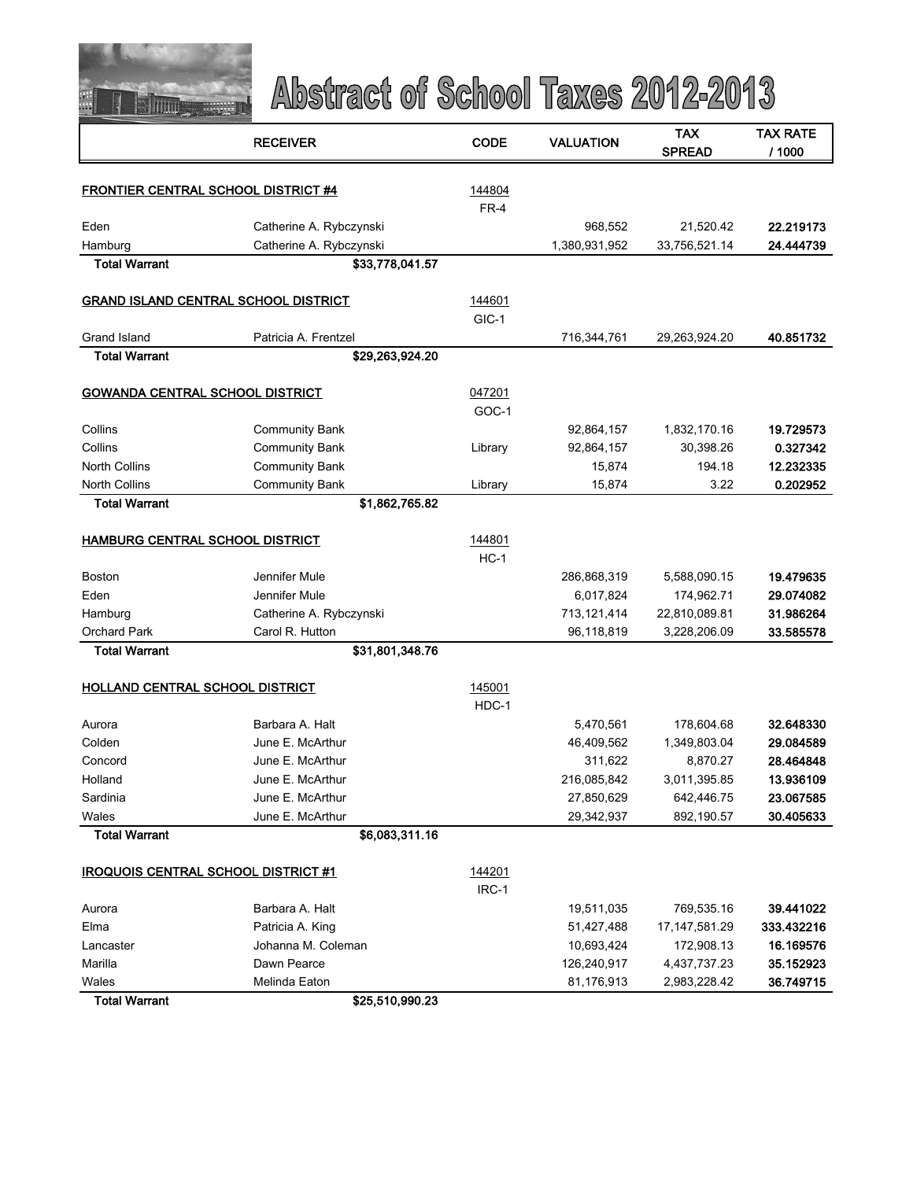

|                                            | <b>RECEIVER</b>                             | <b>CODE</b>      | <b>VALUATION</b> | <b>TAX</b>                    | <b>TAX RATE</b> |
|--------------------------------------------|---------------------------------------------|------------------|------------------|-------------------------------|-----------------|
|                                            |                                             |                  |                  | <b>SPREAD</b>                 | / 1000          |
|                                            |                                             |                  |                  |                               |                 |
| <b>FRONTIER CENTRAL SCHOOL DISTRICT #4</b> |                                             | 144804<br>$FR-4$ |                  |                               |                 |
| Eden                                       | Catherine A. Rybczynski                     |                  | 968,552          | 21,520.42                     | 22.219173       |
| Hamburg                                    | Catherine A. Rybczynski                     |                  | 1,380,931,952    | 33,756,521.14                 | 24.444739       |
| <b>Total Warrant</b>                       | \$33,778,041.57                             |                  |                  |                               |                 |
|                                            |                                             |                  |                  |                               |                 |
|                                            | <b>GRAND ISLAND CENTRAL SCHOOL DISTRICT</b> | 144601           |                  |                               |                 |
|                                            |                                             | GIC-1            |                  |                               |                 |
| Grand Island                               | Patricia A. Frentzel                        |                  | 716,344,761      | 29,263,924.20                 | 40.851732       |
| <b>Total Warrant</b>                       | \$29,263,924.20                             |                  |                  |                               |                 |
|                                            |                                             |                  |                  |                               |                 |
| <b>GOWANDA CENTRAL SCHOOL DISTRICT</b>     |                                             | 047201           |                  |                               |                 |
|                                            |                                             | GOC-1            |                  |                               |                 |
| Collins                                    | <b>Community Bank</b>                       |                  | 92,864,157       | 1,832,170.16                  | 19.729573       |
| Collins                                    | <b>Community Bank</b>                       | Library          | 92,864,157       | 30,398.26                     | 0.327342        |
| <b>North Collins</b>                       | <b>Community Bank</b>                       |                  | 15,874           | 194.18                        | 12.232335       |
| North Collins                              | <b>Community Bank</b>                       | Library          | 15,874           | 3.22                          | 0.202952        |
| <b>Total Warrant</b>                       | \$1,862,765.82                              |                  |                  |                               |                 |
| <b>HAMBURG CENTRAL SCHOOL DISTRICT</b>     |                                             | 144801           |                  |                               |                 |
|                                            |                                             | $HC-1$           |                  |                               |                 |
| <b>Boston</b>                              | Jennifer Mule                               |                  | 286,868,319      | 5,588,090.15                  | 19.479635       |
| Eden                                       | Jennifer Mule                               |                  | 6,017,824        | 174,962.71                    | 29.074082       |
| Hamburg                                    | Catherine A. Rybczynski                     |                  | 713,121,414      | 22,810,089.81                 | 31.986264       |
| <b>Orchard Park</b>                        | Carol R. Hutton                             |                  | 96,118,819       | 3,228,206.09                  | 33.585578       |
| <b>Total Warrant</b>                       | \$31,801,348.76                             |                  |                  |                               |                 |
|                                            |                                             |                  |                  |                               |                 |
| <b>HOLLAND CENTRAL SCHOOL DISTRICT</b>     |                                             | 145001           |                  |                               |                 |
|                                            |                                             | HDC-1            |                  |                               |                 |
| Aurora                                     | Barbara A. Halt                             |                  | 5,470,561        | 178,604.68                    | 32.648330       |
| Colden                                     | June E. McArthur                            |                  | 46,409,562       | 1,349,803.04                  | 29.084589       |
| Concord                                    | June E. McArthur                            |                  | 311,622          | 8,870.27                      | 28.464848       |
| Holland                                    | June E. McArthur                            |                  | 216,085,842      | 3,011,395.85                  | 13.936109       |
| Sardinia                                   | June E. McArthur                            |                  | 27,850,629       | 642,446.75                    | 23.067585       |
| Wales                                      | June E. McArthur                            |                  | 29,342,937       | 892,190.57                    | 30.405633       |
| <b>Total Warrant</b>                       | \$6,083,311.16                              |                  |                  |                               |                 |
|                                            |                                             |                  |                  |                               |                 |
| <b>IROQUOIS CENTRAL SCHOOL DISTRICT #1</b> |                                             | 144201           |                  |                               |                 |
| Aurora                                     | Barbara A. Halt                             | IRC-1            | 19,511,035       |                               | 39.441022       |
| Elma                                       | Patricia A. King                            |                  | 51,427,488       | 769,535.16<br>17, 147, 581.29 | 333.432216      |
| Lancaster                                  | Johanna M. Coleman                          |                  | 10,693,424       | 172,908.13                    | 16.169576       |
| Marilla                                    | Dawn Pearce                                 |                  | 126,240,917      | 4,437,737.23                  | 35.152923       |
| Wales                                      | Melinda Eaton                               |                  | 81,176,913       | 2,983,228.42                  | 36.749715       |
| <b>Total Warrant</b>                       | \$25,510,990.23                             |                  |                  |                               |                 |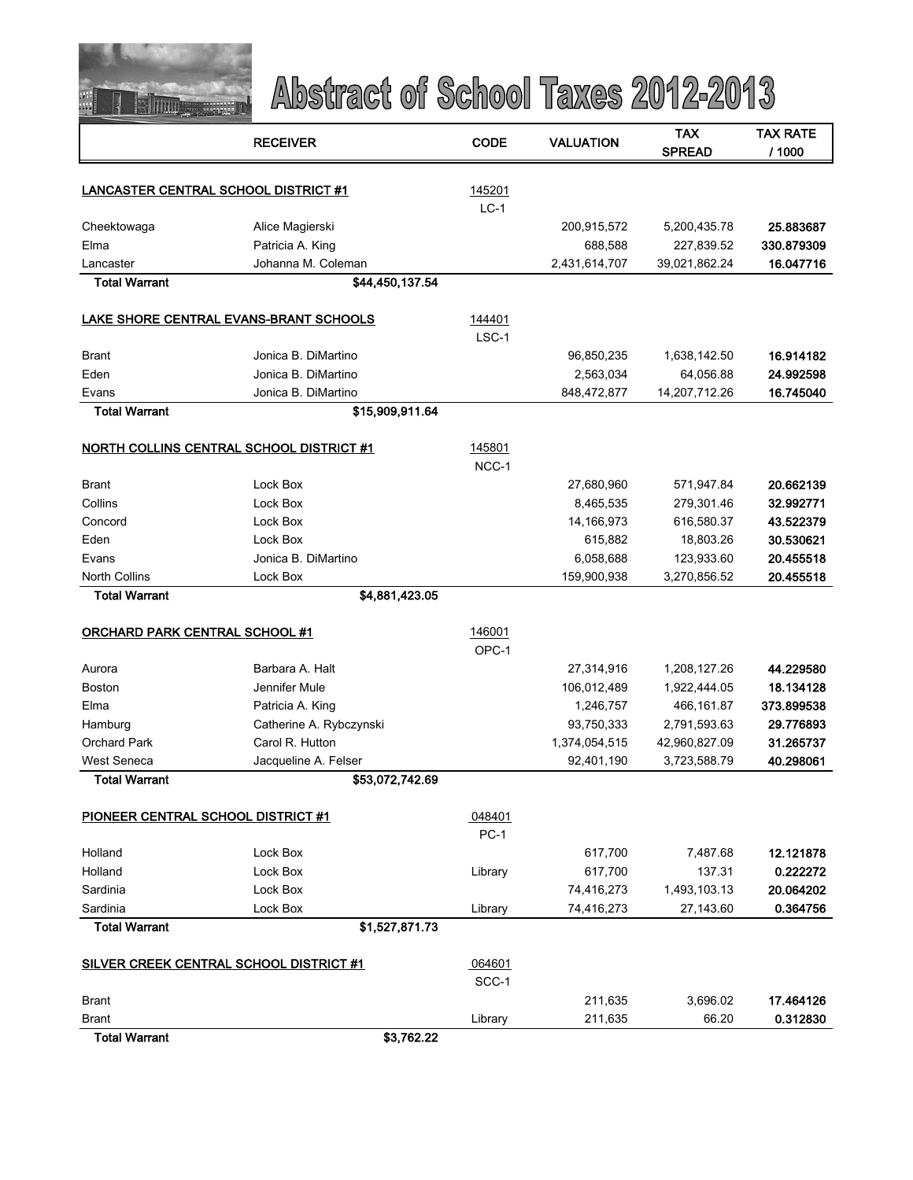

|                                       | <b>RECEIVER</b>                                | <b>CODE</b>      | VALUATION     | TAX           | TAX RATE   |
|---------------------------------------|------------------------------------------------|------------------|---------------|---------------|------------|
|                                       |                                                |                  |               | <b>SPREAD</b> | / 1000     |
|                                       |                                                |                  |               |               |            |
|                                       | LANCASTER CENTRAL SCHOOL DISTRICT #1           | 145201<br>$LC-1$ |               |               |            |
| Cheektowaga                           | Alice Magierski                                |                  | 200,915,572   | 5,200,435.78  | 25.883687  |
| Elma                                  | Patricia A. King                               |                  | 688,588       | 227,839.52    | 330.879309 |
| Lancaster                             | Johanna M. Coleman                             |                  | 2,431,614,707 | 39,021,862.24 | 16.047716  |
| <b>Total Warrant</b>                  | \$44,450,137.54                                |                  |               |               |            |
|                                       |                                                |                  |               |               |            |
|                                       | LAKE SHORE CENTRAL EVANS-BRANT SCHOOLS         | 144401           |               |               |            |
|                                       |                                                | LSC-1            |               |               |            |
| <b>Brant</b>                          | Jonica B. DiMartino                            |                  | 96,850,235    | 1,638,142.50  | 16.914182  |
| Eden                                  | Jonica B. DiMartino                            |                  | 2,563,034     | 64,056.88     | 24.992598  |
| Evans                                 | Jonica B. DiMartino                            |                  | 848,472,877   | 14,207,712.26 | 16.745040  |
| <b>Total Warrant</b>                  | \$15,909,911.64                                |                  |               |               |            |
|                                       | NORTH COLLINS CENTRAL SCHOOL DISTRICT #1       | 145801           |               |               |            |
|                                       |                                                | NCC-1            |               |               |            |
| <b>Brant</b>                          | Lock Box                                       |                  | 27,680,960    | 571,947.84    | 20.662139  |
| Collins                               | Lock Box                                       |                  | 8,465,535     | 279,301.46    | 32.992771  |
| Concord                               | Lock Box                                       |                  | 14,166,973    | 616,580.37    | 43.522379  |
| Eden                                  | Lock Box                                       |                  | 615,882       | 18,803.26     | 30.530621  |
| Evans                                 | Jonica B. DiMartino                            |                  | 6,058,688     | 123,933.60    | 20.455518  |
| <b>North Collins</b>                  | Lock Box                                       |                  | 159,900,938   | 3,270,856.52  | 20.455518  |
| <b>Total Warrant</b>                  | \$4,881,423.05                                 |                  |               |               |            |
|                                       |                                                |                  |               |               |            |
| <b>ORCHARD PARK CENTRAL SCHOOL #1</b> |                                                | 146001           |               |               |            |
|                                       |                                                | OPC-1            |               |               |            |
| Aurora                                | Barbara A. Halt                                |                  | 27,314,916    | 1,208,127.26  | 44.229580  |
| <b>Boston</b>                         | Jennifer Mule                                  |                  | 106,012,489   | 1,922,444.05  | 18.134128  |
| Elma                                  | Patricia A. King                               |                  | 1,246,757     | 466,161.87    | 373.899538 |
| Hamburg                               | Catherine A. Rybczynski                        |                  | 93,750,333    | 2,791,593.63  | 29.776893  |
| <b>Orchard Park</b>                   | Carol R. Hutton                                |                  | 1,374,054,515 | 42,960,827.09 | 31.265737  |
| West Seneca                           | Jacqueline A. Felser                           |                  | 92,401,190    | 3,723,588.79  | 40.298061  |
| <b>Total Warrant</b>                  | \$53,072,742.69                                |                  |               |               |            |
| PIONEER CENTRAL SCHOOL DISTRICT #1    |                                                | 048401           |               |               |            |
|                                       |                                                | $PC-1$           |               |               |            |
| Holland                               | Lock Box                                       |                  | 617,700       | 7,487.68      | 12.121878  |
| Holland                               | Lock Box                                       | Library          | 617,700       | 137.31        | 0.222272   |
| Sardinia                              | Lock Box                                       |                  | 74,416,273    | 1,493,103.13  | 20.064202  |
| Sardinia                              | Lock Box                                       | Library          | 74,416,273    | 27,143.60     | 0.364756   |
| <b>Total Warrant</b>                  | \$1,527,871.73                                 |                  |               |               |            |
|                                       |                                                |                  |               |               |            |
|                                       | <b>SILVER CREEK CENTRAL SCHOOL DISTRICT #1</b> | 064601           |               |               |            |
|                                       |                                                | SCC-1            |               |               |            |
| <b>Brant</b>                          |                                                |                  | 211,635       | 3,696.02      | 17.464126  |
| <b>Brant</b>                          |                                                | Library          | 211,635       | 66.20         | 0.312830   |
| <b>Total Warrant</b>                  | \$3.762.22                                     |                  |               |               |            |